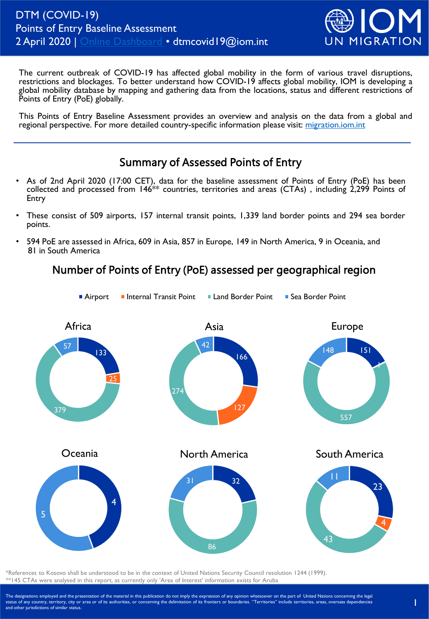

The current outbreak of COVID-19 has affected global mobility in the form of various travel disruptions, restrictions and blockages. To better understand how COVID-19 affects global mobility, IOM is developing a global mobility database by mapping and gathering data from the locations, status and different restrictions of Points of Entry (PoE) globally.

This Points of Entry Baseline Assessment provides an overview and analysis on the data from a global and regional perspective. For more detailed country-specific information please visit: [migration.iom.int](https://migration.iom.int/)

### Summary of Assessed Points of Entry

- As of 2nd April 2020 (17:00 CET), data for the baseline assessment of Points of Entry (PoE) has been collected and processed from 146\*\* countries, territories and areas (CTAs) , including 2,299 Points of Entry
- These consist of 509 airports, 157 internal transit points, 1,339 land border points and 294 sea border points.
- 594 PoE are assessed in Africa, 609 in Asia, 857 in Europe, 149 in North America, 9 in Oceania, and 81 in South America

# Number of Points of Entry (PoE) assessed per geographical region



\*References to Kosovo shall be understood to be in the context of United Nations Security Council resolution 1244 (1999). \*\*145 CTAs were analysed in this report, as currently only 'Area of Interest' information exists for Aruba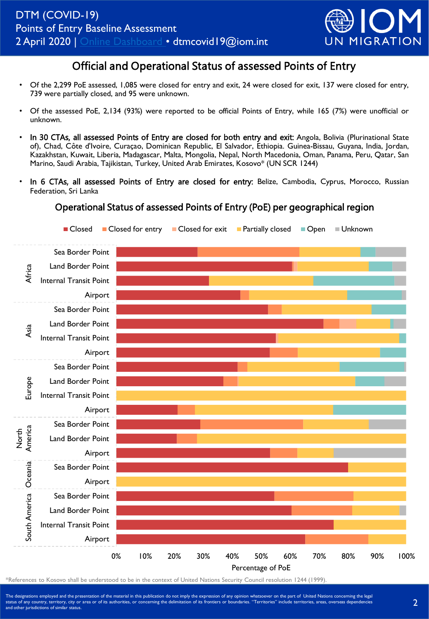

## Official and Operational Status of assessed Points of Entry

- Of the 2,299 PoE assessed, 1,085 were closed for entry and exit, 24 were closed for exit, 137 were closed for entry, 739 were partially closed, and 95 were unknown.
- Of the assessed PoE, 2,134 (93%) were reported to be official Points of Entry, while 165 (7%) were unofficial or unknown.
- In 30 CTAs, all assessed Points of Entry are closed for both entry and exit: Angola, Bolivia (Plurinational State of), Chad, Côte d'Ivoire, Curaçao, Dominican Republic, El Salvador, Ethiopia. Guinea-Bissau, Guyana, India, Jordan, Kazakhstan, Kuwait, Liberia, Madagascar, Malta, Mongolia, Nepal, North Macedonia, Oman, Panama, Peru, Qatar, San Marino, Saudi Arabia, Tajikistan, Turkey, United Arab Emirates, Kosovo\* (UN SCR 1244)
- In 6 CTAs, all assessed Points of Entry are closed for entry: Belize, Cambodia, Cyprus, Morocco, Russian Federation, Sri Lanka

#### Operational Status of assessed Points of Entry (PoE) per geographical region



\*References to Kosovo shall be understood to be in the context of United Nations Security Council resolution 1244 (1999).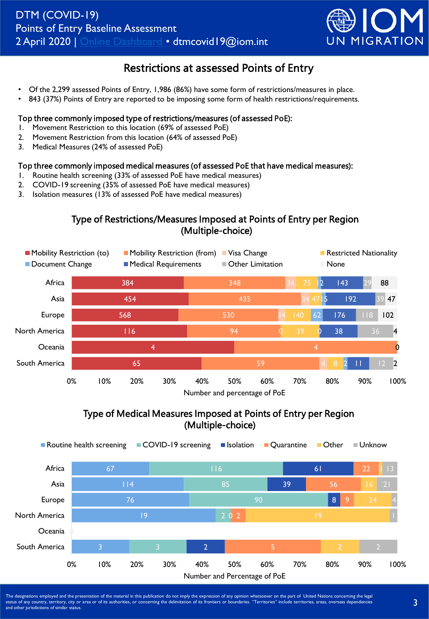

## Restrictions at assessed Points of Entry

- Of the 2,299 assessed Points of Entry, 1,986 (86%) have some form of restrictions/measures in place.
- 843 (37%) Points of Entry are reported to be imposing some form of health restrictions/requirements.

#### Top three commonly imposed type of restrictions/measures (of assessed PoE):

- 1. Movement Restriction to this location (69% of assessed PoE)
- 2. Movement Restriction from this location (64% of assessed PoE)
- 3. Medical Measures (24% of assessed PoE)

#### Top three commonly imposed medical measures (of assessed PoE that have medical measures):

- 1. Routine health screening (33% of assessed PoE have medical measures)
- 2. COVID-19 screening (35% of assessed PoE have medical measures)
- 3. Isolation measures (13% of assessed PoE have medical measures)

### Type of Restrictions/Measures Imposed at Points of Entry per Region (Multiple-choice)



### Type of Medical Measures Imposed at Points of Entry per Region (Multiple-choice)

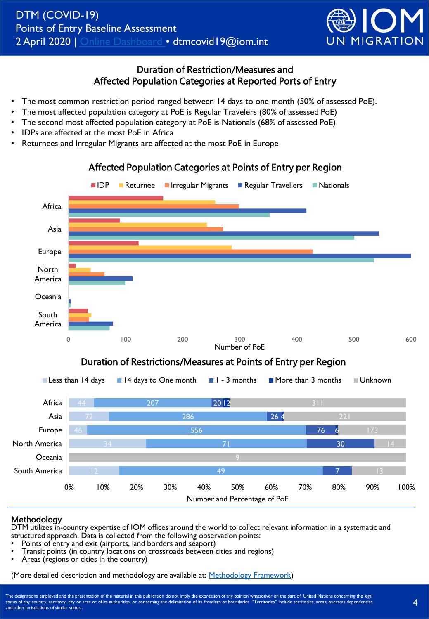

### Duration of Restriction/Measures and Affected Population Categories at Reported Ports of Entry

Affected Population Categories at Points of Entry per Region

- The most common restriction period ranged between 14 days to one month (50% of assessed PoE).
- The most affected population category at PoE is Regular Travelers (80% of assessed PoE)
- The second most affected population category at PoE is Nationals (68% of assessed PoE)
- IDPs are affected at the most PoE in Africa
- Returnees and Irregular Migrants are affected at the most PoE in Europe



## Number and Percentage of PoE

#### Methodology

DTM utilizes in-country expertise of IOM offices around the world to collect relevant information in a systematic and structured approach. Data is collected from the following observation points:

- Points of entry and exit (airports, land borders and seaport)
- Transit points (in country locations on crossroads between cities and regions)
- Areas (regions or cities in the country)

(More detailed description and methodology are available at: [Methodology Framework\)](https://migration.iom.int/system/tdf/DTM Methodological Framework for Points of Entry Country Baseline _COVID-19 11032020.pdf?file=1&type=node&id=7994)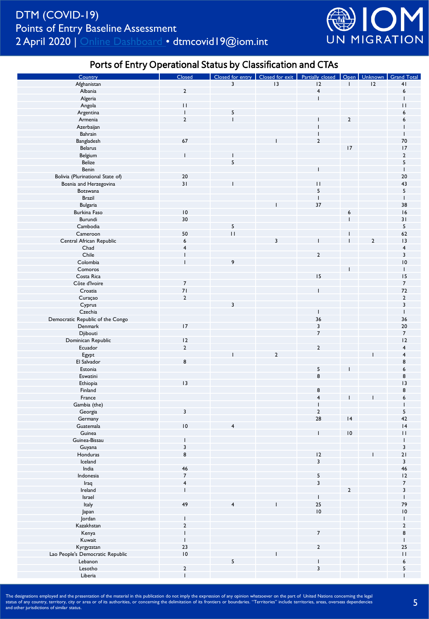

### Ports of Entry Operational Status by Classification and CTAs

| Country                          | Closed                   |                         |                | Closed for entry   Closed for exit   Partially closed   Open   Unknown   Grand Total |                          |                |                         |
|----------------------------------|--------------------------|-------------------------|----------------|--------------------------------------------------------------------------------------|--------------------------|----------------|-------------------------|
| Afghanistan                      |                          | $\overline{\mathbf{3}}$ | 3              | 12                                                                                   | $\mathbf{I}$             | 12             | 41                      |
| Albania                          | $\sqrt{2}$               |                         |                | $\overline{\mathbf{4}}$                                                              |                          |                | 6                       |
| Algeria                          |                          |                         |                | $\overline{1}$                                                                       |                          |                |                         |
| Angola                           | $\overline{11}$          |                         |                |                                                                                      |                          |                | $\mathbf{H}$            |
|                                  | $\overline{1}$           |                         |                |                                                                                      |                          |                | 6                       |
| Argentina                        |                          | 5                       |                |                                                                                      |                          |                |                         |
| Armenia                          | $\mathbf 2$              | $\mathbf{I}$            |                |                                                                                      | $\overline{2}$           |                | 6                       |
| Azerbaijan                       |                          |                         |                |                                                                                      |                          |                |                         |
| Bahrain                          |                          |                         |                |                                                                                      |                          |                |                         |
| Bangladesh                       | 67                       |                         |                | $\mathbf 2$                                                                          |                          |                | 70                      |
| Belarus                          |                          |                         |                |                                                                                      | 17                       |                | 17                      |
| Belgium                          | $\overline{\phantom{a}}$ |                         |                |                                                                                      |                          |                | $\mathbf 2$             |
| Belize                           |                          | 5                       |                |                                                                                      |                          |                | 5                       |
| Benin                            |                          |                         |                |                                                                                      |                          |                | $\mathsf{I}$            |
| Bolivia (Plurinational State of) | 20                       |                         |                |                                                                                      |                          |                | 20                      |
|                                  | 31                       |                         |                | П                                                                                    |                          |                | 43                      |
| Bosnia and Herzegovina           |                          |                         |                |                                                                                      |                          |                |                         |
| Botswana                         |                          |                         |                | 5                                                                                    |                          |                | 5                       |
| <b>Brazil</b>                    |                          |                         |                | $\overline{1}$                                                                       |                          |                | $\mathbf{I}$            |
| <b>Bulgaria</b>                  |                          |                         |                | 37                                                                                   |                          |                | 38                      |
| Burkina Faso                     | $\overline{10}$          |                         |                |                                                                                      | 6                        |                | 16                      |
| Burundi                          | 30                       |                         |                |                                                                                      |                          |                | 31                      |
| Cambodia                         |                          | 5                       |                |                                                                                      |                          |                | 5                       |
| Cameroon                         | 50                       | $\mathbf{H}$            |                |                                                                                      |                          |                | 62                      |
| Central African Republic         | $\boldsymbol{6}$         |                         | 3              |                                                                                      |                          | $\overline{2}$ | 13                      |
| Chad                             | $\overline{4}$           |                         |                |                                                                                      |                          |                | 4                       |
| Chile                            |                          |                         |                | $\overline{2}$                                                                       |                          |                | 3                       |
|                                  |                          |                         |                |                                                                                      |                          |                |                         |
| Colombia                         |                          | 9                       |                |                                                                                      |                          |                | $\overline{10}$         |
| Comoros                          |                          |                         |                |                                                                                      |                          |                | $\mathbf{I}$            |
| Costa Rica                       |                          |                         |                | 15                                                                                   |                          |                | 15                      |
| Côte d'Ivoire                    | $\overline{7}$           |                         |                |                                                                                      |                          |                | $\boldsymbol{7}$        |
| Croatia                          | 71                       |                         |                |                                                                                      |                          |                | 72                      |
| Curaçao                          | $\mathbf 2$              |                         |                |                                                                                      |                          |                | $\mathbf 2$             |
| Cyprus                           |                          | 3                       |                |                                                                                      |                          |                | 3                       |
| Czechia                          |                          |                         |                | $\mathbf{I}$                                                                         |                          |                | $\mathbf{I}$            |
| Democratic Republic of the Congo |                          |                         |                | 36                                                                                   |                          |                | 36                      |
| Denmark                          | 17                       |                         |                | 3                                                                                    |                          |                | 20                      |
|                                  |                          |                         |                | $\overline{7}$                                                                       |                          |                | $\overline{7}$          |
| Djibouti                         |                          |                         |                |                                                                                      |                          |                |                         |
| Dominican Republic               | 12                       |                         |                |                                                                                      |                          |                | 12                      |
| Ecuador                          | $\overline{2}$           |                         |                | $\mathbf 2$                                                                          |                          |                | 4                       |
| Egypt                            |                          |                         | $\overline{2}$ |                                                                                      |                          |                | 4                       |
| El Salvador                      | 8                        |                         |                |                                                                                      |                          |                | 8                       |
| Estonia                          |                          |                         |                | 5                                                                                    |                          |                | 6                       |
| Eswatini                         |                          |                         |                | 8                                                                                    |                          |                | 8                       |
| Ethiopia                         | 3                        |                         |                |                                                                                      |                          |                | 3                       |
| Finland                          |                          |                         |                | 8                                                                                    |                          |                | 8                       |
| France                           |                          |                         |                | $\overline{\mathbf{4}}$                                                              |                          |                | 6                       |
| Gambia (the)                     |                          |                         |                | $\overline{\phantom{a}}$                                                             |                          |                |                         |
|                                  |                          |                         |                |                                                                                      |                          |                |                         |
| Georgia                          | 3                        |                         |                | $\mathbf 2$                                                                          |                          |                | 5                       |
| Germany                          |                          |                         |                | 28                                                                                   | 4                        |                | 42                      |
| Guatemala                        | 10                       | 4                       |                |                                                                                      |                          |                | 4                       |
| Guinea                           |                          |                         |                | $\mathsf I$                                                                          | $\mathsf{I}\,\mathsf{0}$ |                | П                       |
| Guinea-Bissau                    |                          |                         |                |                                                                                      |                          |                |                         |
| Guyana                           | 3                        |                         |                |                                                                                      |                          |                | 3                       |
| Honduras                         | 8                        |                         |                | 12                                                                                   |                          |                | 21                      |
| Iceland                          |                          |                         |                | $\overline{\mathbf{3}}$                                                              |                          |                | $\overline{\mathbf{3}}$ |
| India                            | 46                       |                         |                |                                                                                      |                          |                | 46                      |
| Indonesia                        | $\overline{7}$           |                         |                | 5                                                                                    |                          |                | 12                      |
|                                  |                          |                         |                |                                                                                      |                          |                |                         |
| Iraq                             | $\overline{\mathbf{4}}$  |                         |                | $\overline{\mathbf{3}}$                                                              |                          |                | $\overline{7}$          |
| Ireland                          | $\mathbf{I}$             |                         |                |                                                                                      | $\overline{2}$           |                | 3                       |
| Israel                           |                          |                         |                | $\overline{1}$                                                                       |                          |                |                         |
| Italy                            | 49                       | 4                       |                | $\begin{array}{c} 25 \\ 10 \end{array}$                                              |                          |                | 79                      |
| Japan                            |                          |                         |                |                                                                                      |                          |                | $\overline{10}$         |
| Jordan                           |                          |                         |                |                                                                                      |                          |                | $\overline{1}$          |
| Kazakhstan                       | $\mathbf 2$              |                         |                |                                                                                      |                          |                | $\mathbf 2$             |
| Kenya                            |                          |                         |                | $\boldsymbol{7}$                                                                     |                          |                | 8                       |
| Kuwait                           |                          |                         |                |                                                                                      |                          |                | I                       |
|                                  | $23$                     |                         |                |                                                                                      |                          |                | 25                      |
| Kyrgyzstan                       |                          |                         |                | $\mathbf 2$                                                                          |                          |                |                         |
| Lao People's Democratic Republic | $\overline{10}$          |                         |                |                                                                                      |                          |                | $\bar{1}$               |
| Lebanon                          |                          | 5                       |                |                                                                                      |                          |                | 6                       |
| Lesotho                          | $\mathbf 2$              |                         |                | $\mathsf 3$                                                                          |                          |                | 5                       |
| Liberia                          | $\overline{1}$           |                         |                |                                                                                      |                          |                |                         |
|                                  |                          |                         |                |                                                                                      |                          |                |                         |